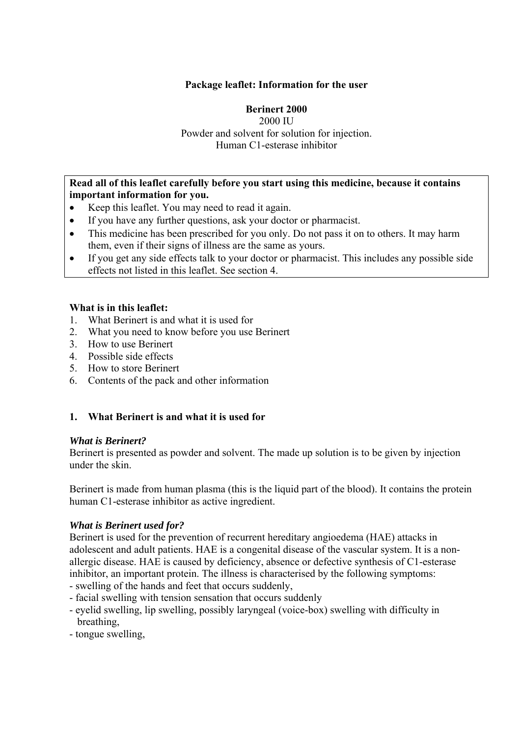### **Package leaflet: Information for the user**

# **Berinert 2000**

2000 IU Powder and solvent for solution for injection. Human C1-esterase inhibitor

#### **Read all of this leaflet carefully before you start using this medicine, because it contains important information for you.**

- Keep this leaflet. You may need to read it again.
- If you have any further questions, ask your doctor or pharmacist.
- This medicine has been prescribed for you only. Do not pass it on to others. It may harm them, even if their signs of illness are the same as yours.
- If you get any side effects talk to your doctor or pharmacist. This includes any possible side effects not listed in this leaflet. See section 4.

#### **What is in this leaflet:**

- 1. What Berinert is and what it is used for
- 2. What you need to know before you use Berinert
- 3. How to use Berinert
- 4. Possible side effects
- 5. How to store Berinert
- 6. Contents of the pack and other information

# **1. What Berinert is and what it is used for**

#### *What is Berinert?*

Berinert is presented as powder and solvent. The made up solution is to be given by injection under the skin.

Berinert is made from human plasma (this is the liquid part of the blood). It contains the protein human C1-esterase inhibitor as active ingredient.

#### *What is Berinert used for?*

Berinert is used for the prevention of recurrent hereditary angioedema (HAE) attacks in adolescent and adult patients. HAE is a congenital disease of the vascular system. It is a nonallergic disease. HAE is caused by deficiency, absence or defective synthesis of C1-esterase inhibitor, an important protein. The illness is characterised by the following symptoms:

- swelling of the hands and feet that occurs suddenly,
- facial swelling with tension sensation that occurs suddenly
- eyelid swelling, lip swelling, possibly laryngeal (voice-box) swelling with difficulty in breathing,
- tongue swelling,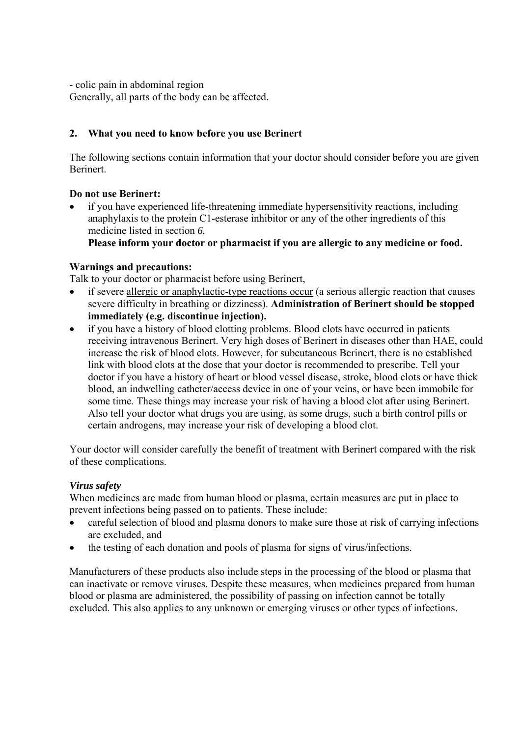- colic pain in abdominal region

Generally, all parts of the body can be affected.

# **2. What you need to know before you use Berinert**

The following sections contain information that your doctor should consider before you are given Berinert.

# **Do not use Berinert:**

 if you have experienced life-threatening immediate hypersensitivity reactions, including anaphylaxis to the protein C1-esterase inhibitor or any of the other ingredients of this medicine listed in section *6.*

 **Please inform your doctor or pharmacist if you are allergic to any medicine or food.**

# **Warnings and precautions:**

Talk to your doctor or pharmacist before using Berinert,

- if severe allergic or anaphylactic-type reactions occur (a serious allergic reaction that causes severe difficulty in breathing or dizziness). **Administration of Berinert should be stopped immediately (e.g. discontinue injection).**
- if you have a history of blood clotting problems. Blood clots have occurred in patients receiving intravenous Berinert. Very high doses of Berinert in diseases other than HAE, could increase the risk of blood clots. However, for subcutaneous Berinert, there is no established link with blood clots at the dose that your doctor is recommended to prescribe. Tell your doctor if you have a history of heart or blood vessel disease, stroke, blood clots or have thick blood, an indwelling catheter/access device in one of your veins, or have been immobile for some time. These things may increase your risk of having a blood clot after using Berinert. Also tell your doctor what drugs you are using, as some drugs, such a birth control pills or certain androgens, may increase your risk of developing a blood clot.

Your doctor will consider carefully the benefit of treatment with Berinert compared with the risk of these complications.

# *Virus safety*

When medicines are made from human blood or plasma, certain measures are put in place to prevent infections being passed on to patients. These include:

- careful selection of blood and plasma donors to make sure those at risk of carrying infections are excluded, and
- the testing of each donation and pools of plasma for signs of virus/infections.

Manufacturers of these products also include steps in the processing of the blood or plasma that can inactivate or remove viruses. Despite these measures, when medicines prepared from human blood or plasma are administered, the possibility of passing on infection cannot be totally excluded. This also applies to any unknown or emerging viruses or other types of infections.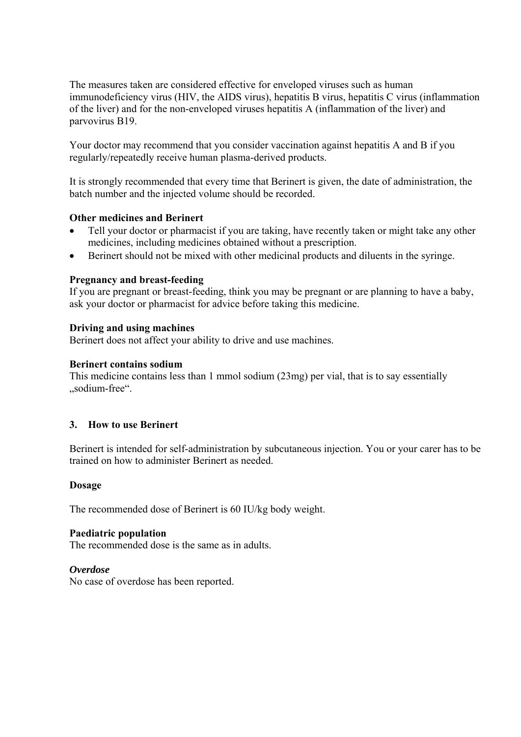The measures taken are considered effective for enveloped viruses such as human immunodeficiency virus (HIV, the AIDS virus), hepatitis B virus, hepatitis C virus (inflammation of the liver) and for the non-enveloped viruses hepatitis A (inflammation of the liver) and parvovirus B19.

Your doctor may recommend that you consider vaccination against hepatitis A and B if you regularly/repeatedly receive human plasma-derived products.

It is strongly recommended that every time that Berinert is given, the date of administration, the batch number and the injected volume should be recorded.

#### **Other medicines and Berinert**

- Tell your doctor or pharmacist if you are taking, have recently taken or might take any other medicines, including medicines obtained without a prescription.
- Berinert should not be mixed with other medicinal products and diluents in the syringe.

#### **Pregnancy and breast-feeding**

If you are pregnant or breast-feeding, think you may be pregnant or are planning to have a baby, ask your doctor or pharmacist for advice before taking this medicine.

#### **Driving and using machines**

Berinert does not affect your ability to drive and use machines.

### **Berinert contains sodium**

This medicine contains less than 1 mmol sodium (23mg) per vial, that is to say essentially .sodium-free".

# **3. How to use Berinert**

Berinert is intended for self-administration by subcutaneous injection. You or your carer has to be trained on how to administer Berinert as needed.

#### **Dosage**

The recommended dose of Berinert is 60 IU/kg body weight.

#### **Paediatric population**

The recommended dose is the same as in adults.

#### *Overdose*

No case of overdose has been reported.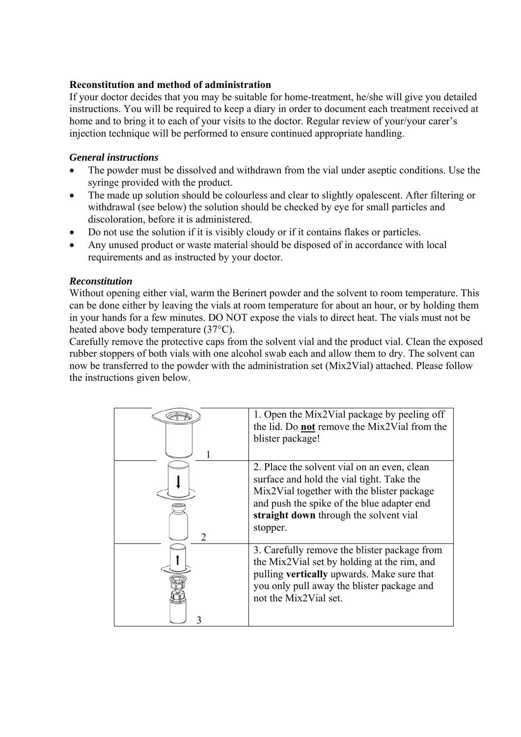### **Reconstitution and method of administration**

If your doctor decides that you may be suitable for home-treatment, he/she will give you detailed instructions. You will be required to keep a diary in order to document each treatment received at home and to bring it to each of your visits to the doctor. Regular review of your/your carer's injection technique will be performed to ensure continued appropriate handling.

### *General instructions*

- The powder must be dissolved and withdrawn from the vial under aseptic conditions. Use the syringe provided with the product.
- The made up solution should be colourless and clear to slightly opalescent. After filtering or withdrawal (see below) the solution should be checked by eye for small particles and discoloration, before it is administered.
- Do not use the solution if it is visibly cloudy or if it contains flakes or particles.
- Any unused product or waste material should be disposed of in accordance with local requirements and as instructed by your doctor.

### *Reconstitution*

Without opening either vial, warm the Berinert powder and the solvent to room temperature. This can be done either by leaving the vials at room temperature for about an hour, or by holding them in your hands for a few minutes. DO NOT expose the vials to direct heat. The vials must not be heated above body temperature (37°C).

Carefully remove the protective caps from the solvent vial and the product vial. Clean the exposed rubber stoppers of both vials with one alcohol swab each and allow them to dry. The solvent can now be transferred to the powder with the administration set (Mix2Vial) attached. Please follow the instructions given below.

|               | 1. Open the Mix2Vial package by peeling off<br>the lid. Do not remove the Mix2Vial from the<br>blister package!                                                                                                                            |
|---------------|--------------------------------------------------------------------------------------------------------------------------------------------------------------------------------------------------------------------------------------------|
| $\mathcal{D}$ | 2. Place the solvent vial on an even, clean<br>surface and hold the vial tight. Take the<br>Mix2Vial together with the blister package<br>and push the spike of the blue adapter end<br>straight down through the solvent vial<br>stopper. |
|               | 3. Carefully remove the blister package from<br>the Mix2Vial set by holding at the rim, and<br>pulling vertically upwards. Make sure that<br>you only pull away the blister package and<br>not the Mix2Vial set.                           |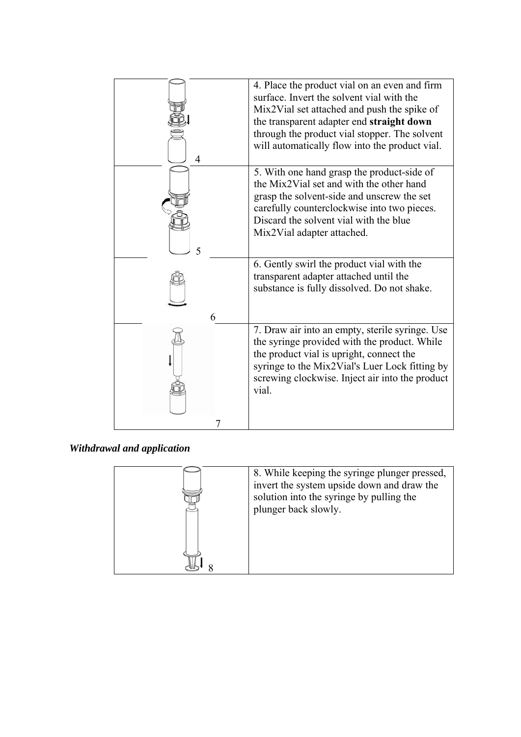| 4. Place the product vial on an even and firm<br>surface. Invert the solvent vial with the<br>Mix2Vial set attached and push the spike of<br>the transparent adapter end straight down<br>through the product vial stopper. The solvent<br>will automatically flow into the product vial. |
|-------------------------------------------------------------------------------------------------------------------------------------------------------------------------------------------------------------------------------------------------------------------------------------------|
| 5. With one hand grasp the product-side of<br>the Mix2Vial set and with the other hand<br>grasp the solvent-side and unscrew the set<br>carefully counterclockwise into two pieces.<br>Discard the solvent vial with the blue<br>Mix2Vial adapter attached.                               |
| 6. Gently swirl the product vial with the<br>transparent adapter attached until the<br>substance is fully dissolved. Do not shake.                                                                                                                                                        |
| 7. Draw air into an empty, sterile syringe. Use<br>the syringe provided with the product. While<br>the product vial is upright, connect the<br>syringe to the Mix2Vial's Luer Lock fitting by<br>screwing clockwise. Inject air into the product<br>vial.                                 |
|                                                                                                                                                                                                                                                                                           |

*Withdrawal and application* 

| 8. While keeping the syringe plunger pressed,<br>invert the system upside down and draw the<br>solution into the syringe by pulling the<br>plunger back slowly. |
|-----------------------------------------------------------------------------------------------------------------------------------------------------------------|
|                                                                                                                                                                 |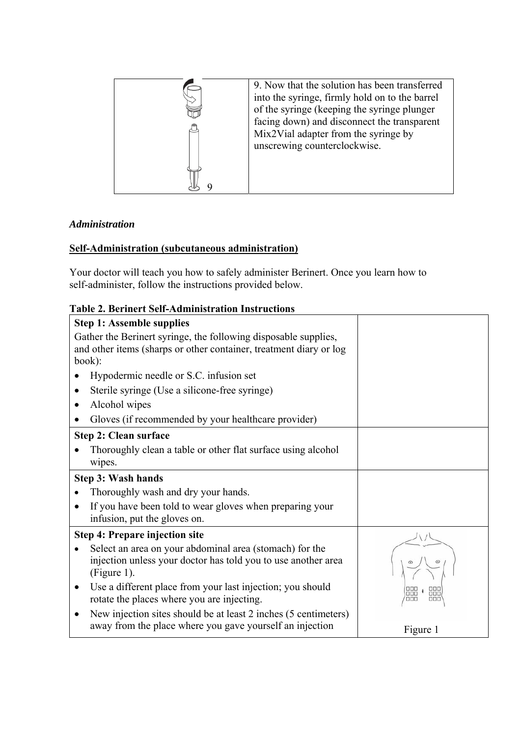

# *Administration*

# **Self-Administration (subcutaneous administration)**

Your doctor will teach you how to safely administer Berinert. Once you learn how to self-administer, follow the instructions provided below.

# **Table 2. Berinert Self-Administration Instructions**

| <b>Step 1: Assemble supplies</b>                                                                                                                |          |
|-------------------------------------------------------------------------------------------------------------------------------------------------|----------|
| Gather the Berinert syringe, the following disposable supplies,<br>and other items (sharps or other container, treatment diary or log<br>book): |          |
| Hypodermic needle or S.C. infusion set                                                                                                          |          |
| Sterile syringe (Use a silicone-free syringe)                                                                                                   |          |
| Alcohol wipes<br>$\bullet$                                                                                                                      |          |
| Gloves (if recommended by your healthcare provider)                                                                                             |          |
| <b>Step 2: Clean surface</b>                                                                                                                    |          |
| Thoroughly clean a table or other flat surface using alcohol<br>wipes.                                                                          |          |
| <b>Step 3: Wash hands</b>                                                                                                                       |          |
| Thoroughly wash and dry your hands.                                                                                                             |          |
| If you have been told to wear gloves when preparing your<br>infusion, put the gloves on.                                                        |          |
| <b>Step 4: Prepare injection site</b>                                                                                                           |          |
| Select an area on your abdominal area (stomach) for the<br>injection unless your doctor has told you to use another area<br>(Figure 1).         |          |
| Use a different place from your last injection; you should<br>rotate the places where you are injecting.                                        | noc      |
| New injection sites should be at least 2 inches (5 centimeters)<br>away from the place where you gave yourself an injection                     | Figure 1 |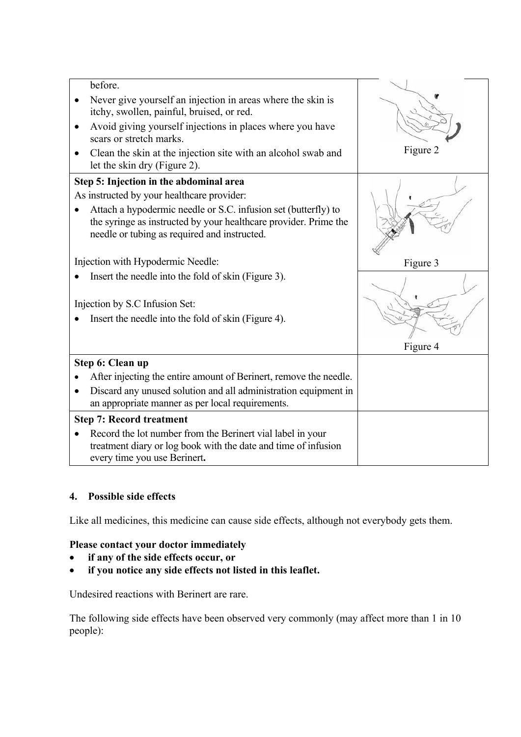| before.                                                                                                                                                                            |          |
|------------------------------------------------------------------------------------------------------------------------------------------------------------------------------------|----------|
| Never give yourself an injection in areas where the skin is<br>itchy, swollen, painful, bruised, or red.                                                                           |          |
| Avoid giving yourself injections in places where you have<br>٠<br>scars or stretch marks.                                                                                          |          |
| Clean the skin at the injection site with an alcohol swab and<br>let the skin dry (Figure 2).                                                                                      | Figure 2 |
| Step 5: Injection in the abdominal area<br>As instructed by your healthcare provider:                                                                                              |          |
| Attach a hypodermic needle or S.C. infusion set (butterfly) to<br>the syringe as instructed by your healthcare provider. Prime the<br>needle or tubing as required and instructed. |          |
| Injection with Hypodermic Needle:                                                                                                                                                  | Figure 3 |
| Insert the needle into the fold of skin (Figure 3).                                                                                                                                |          |
| Injection by S.C Infusion Set:                                                                                                                                                     |          |
| Insert the needle into the fold of skin (Figure 4).                                                                                                                                |          |
|                                                                                                                                                                                    | Figure 4 |
| Step 6: Clean up                                                                                                                                                                   |          |
| After injecting the entire amount of Berinert, remove the needle.                                                                                                                  |          |
| Discard any unused solution and all administration equipment in<br>an appropriate manner as per local requirements.                                                                |          |
| <b>Step 7: Record treatment</b>                                                                                                                                                    |          |
| Record the lot number from the Berinert vial label in your<br>treatment diary or log book with the date and time of infusion<br>every time you use Berinert.                       |          |

# **4. Possible side effects**

Like all medicines, this medicine can cause side effects, although not everybody gets them.

# **Please contact your doctor immediately**

- **if any of the side effects occur, or**
- **if you notice any side effects not listed in this leaflet.**

Undesired reactions with Berinert are rare.

The following side effects have been observed very commonly (may affect more than 1 in 10 people):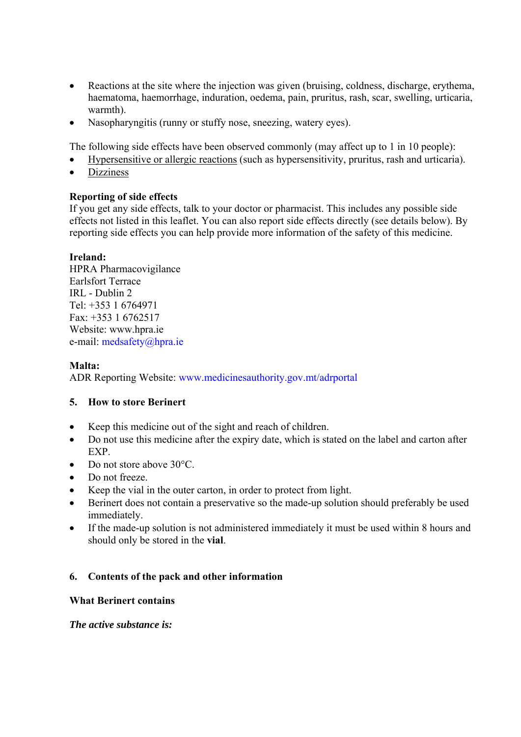- Reactions at the site where the injection was given (bruising, coldness, discharge, erythema, haematoma, haemorrhage, induration, oedema, pain, pruritus, rash, scar, swelling, urticaria, warmth).
- Nasopharyngitis (runny or stuffy nose, sneezing, watery eyes).

The following side effects have been observed commonly (may affect up to 1 in 10 people):

- Hypersensitive or allergic reactions (such as hypersensitivity, pruritus, rash and urticaria).
- Dizziness

### **Reporting of side effects**

If you get any side effects, talk to your doctor or pharmacist. This includes any possible side effects not listed in this leaflet. You can also report side effects directly (see details below). By reporting side effects you can help provide more information of the safety of this medicine.

### **Ireland:**

HPRA Pharmacovigilance Earlsfort Terrace IRL - Dublin 2 Tel: +353 1 6764971 Fax: +353 1 6762517 Website: www.hpra.ie e-mail: medsafety@hpra.ie

### **Malta:**

ADR Reporting Website: www.medicinesauthority.gov.mt/adrportal

# **5. How to store Berinert**

- Keep this medicine out of the sight and reach of children.
- Do not use this medicine after the expiry date, which is stated on the label and carton after EXP.
- Do not store above 30°C.
- Do not freeze.
- Keep the vial in the outer carton, in order to protect from light.
- Berinert does not contain a preservative so the made-up solution should preferably be used immediately.
- If the made-up solution is not administered immediately it must be used within 8 hours and should only be stored in the **vial**.

# **6. Contents of the pack and other information**

#### **What Berinert contains**

#### *The active substance is:*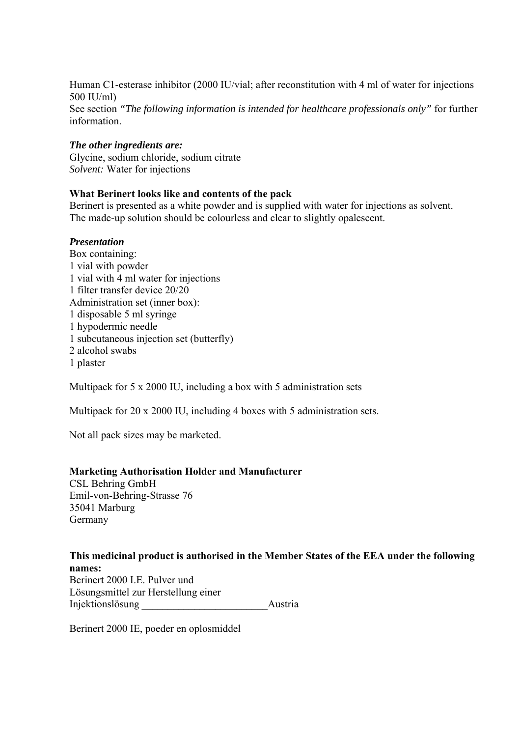Human C1-esterase inhibitor (2000 IU/vial; after reconstitution with 4 ml of water for injections 500 IU/ml) See section *"The following information is intended for healthcare professionals only"* for further information.

#### *The other ingredients are:*

Glycine, sodium chloride, sodium citrate *Solvent:* Water for injections

#### **What Berinert looks like and contents of the pack**

Berinert is presented as a white powder and is supplied with water for injections as solvent. The made-up solution should be colourless and clear to slightly opalescent.

### *Presentation*

Box containing: 1 vial with powder 1 vial with 4 ml water for injections 1 filter transfer device 20/20 Administration set (inner box): 1 disposable 5 ml syringe 1 hypodermic needle 1 subcutaneous injection set (butterfly) 2 alcohol swabs 1 plaster

Multipack for 5 x 2000 IU, including a box with 5 administration sets

Multipack for 20 x 2000 IU, including 4 boxes with 5 administration sets.

Not all pack sizes may be marketed.

#### **Marketing Authorisation Holder and Manufacturer**

CSL Behring GmbH Emil-von-Behring-Strasse 76 35041 Marburg Germany

#### **This medicinal product is authorised in the Member States of the EEA under the following names:**  Berinert 2000 I.E. Pulver und Lösungsmittel zur Herstellung einer Injektionslösung austria

Berinert 2000 IE, poeder en oplosmiddel